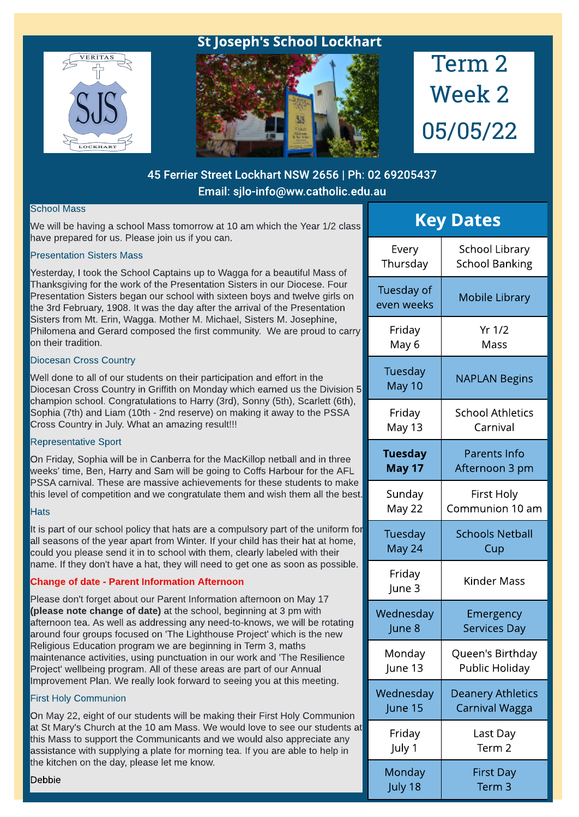

## St Joseph's School Lockhart



# Term 2 Week 2 05/05/22

## 45 Ferrier Street Lockhart NSW 2656 | Ph: 02 69205437 Email: sjlo-info@ww.catholic.edu.au

#### School Mass

We will be having a school Mass tomorrow at 10 am which the Year 1/2 class have prepared for us. Please join us if you can.

#### Presentation Sisters Mass

Yesterday, I took the School Captains up to Wagga for a beautiful Mass of Thanksgiving for the work of the Presentation Sisters in our Diocese. Four Presentation Sisters began our school with sixteen boys and twelve girls on the 3rd February, 1908. It was the day after the arrival of the Presentation Sisters from Mt. Erin, Wagga. Mother M. Michael, Sisters M. Josephine, Philomena and Gerard composed the first community. We are proud to carry on their tradition.

#### Diocesan Cross Country

Well done to all of our students on their participation and effort in the Diocesan Cross Country in Griffith on Monday which earned us the Division 5 champion school. Congratulations to Harry (3rd), Sonny (5th), Scarlett (6th), Sophia (7th) and Liam (10th - 2nd reserve) on making it away to the PSSA Cross Country in July. What an amazing result!!!

#### Representative Sport

On Friday, Sophia will be in Canberra for the MacKillop netball and in three weeks' time, Ben, Harry and Sam will be going to Coffs Harbour for the AFL PSSA carnival. These are massive achievements for these students to make this level of competition and we congratulate them and wish them all the best.

#### **Hats**

It is part of our school policy that hats are a compulsory part of the uniform for all seasons of the year apart from Winter. If your child has their hat at home, could you please send it in to school with them, clearly labeled with their name. If they don't have a hat, they will need to get one as soon as possible.

#### Change of date - Parent Information Afternoon

Please don't forget about our Parent Information afternoon on May 17 (please note change of date) at the school, beginning at 3 pm with afternoon tea. As well as addressing any need-to-knows, we will be rotating around four groups focused on 'The Lighthouse Project' which is the new Religious Education program we are beginning in Term 3, maths maintenance activities, using punctuation in our work and 'The Resilience Project' wellbeing program. All of these areas are part of our Annual Improvement Plan. We really look forward to seeing you at this meeting.

#### First Holy Communion

On May 22, eight of our students will be making their First Holy Communion at St Mary's Church at the 10 am Mass. We would love to see our students at this Mass to support the Communicants and we would also appreciate any assistance with supplying a plate for morning tea. If you are able to help in the kitchen on the day, please let me know.

| <b>Key Dates</b>         |                          |  |
|--------------------------|--------------------------|--|
| Every                    | School Library           |  |
| Thursday                 | <b>School Banking</b>    |  |
| Tuesday of<br>even weeks | <b>Mobile Library</b>    |  |
| Friday                   | Yr 1/2                   |  |
| May 6                    | Mass                     |  |
| Tuesday<br>May 10        | <b>NAPLAN Begins</b>     |  |
| Friday                   | <b>School Athletics</b>  |  |
| May 13                   | Carnival                 |  |
| <b>Tuesday</b>           | <b>Parents Info</b>      |  |
| <b>May 17</b>            | Afternoon 3 pm           |  |
| Sunday                   | First Holy               |  |
| May 22                   | Communion 10 am          |  |
| Tuesday                  | <b>Schools Netball</b>   |  |
| May 24                   | Cup                      |  |
| Friday<br>June 3         | <b>Kinder Mass</b>       |  |
| Wednesday                | Emergency                |  |
| June 8                   | Services Day             |  |
| Monday                   | Queen's Birthday         |  |
| June 13                  | Public Holiday           |  |
| Wednesday                | <b>Deanery Athletics</b> |  |
| June 15                  | Carnival Wagga           |  |
| Friday                   | Last Day                 |  |
| July 1                   | Term 2                   |  |
| Monday                   | First Day                |  |
| July 18                  | Term 3                   |  |

Debbie